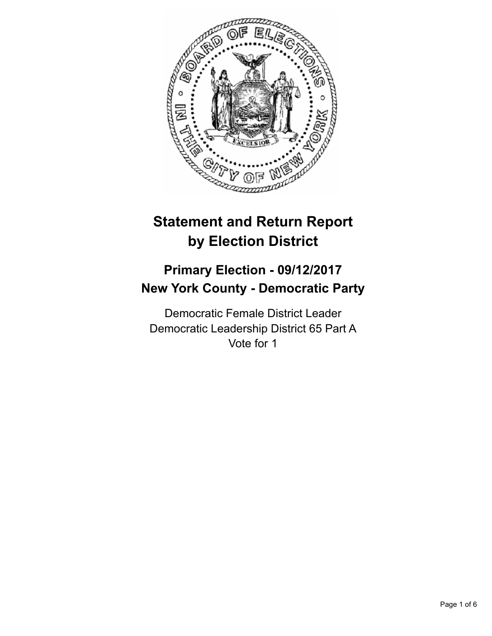

# **Statement and Return Report by Election District**

## **Primary Election - 09/12/2017 New York County - Democratic Party**

Democratic Female District Leader Democratic Leadership District 65 Part A Vote for 1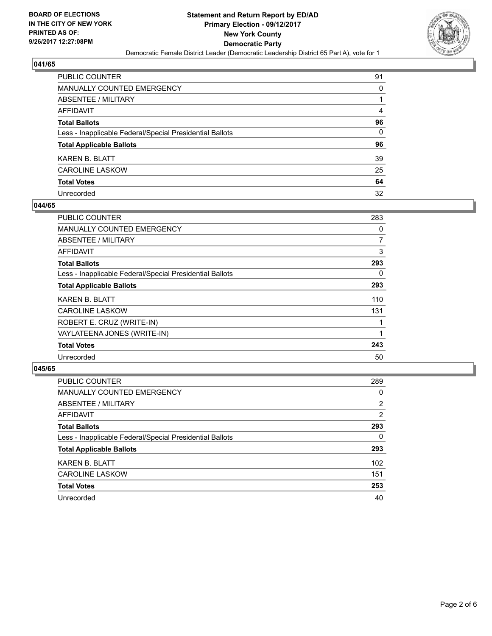

| PUBLIC COUNTER                                           | 91 |
|----------------------------------------------------------|----|
| <b>MANUALLY COUNTED EMERGENCY</b>                        | 0  |
| <b>ABSENTEE / MILITARY</b>                               |    |
| AFFIDAVIT                                                | 4  |
| <b>Total Ballots</b>                                     | 96 |
| Less - Inapplicable Federal/Special Presidential Ballots | 0  |
| <b>Total Applicable Ballots</b>                          | 96 |
| KAREN B. BLATT                                           | 39 |
| <b>CAROLINE LASKOW</b>                                   | 25 |
| <b>Total Votes</b>                                       | 64 |
| Unrecorded                                               | 32 |

#### **044/65**

| <b>PUBLIC COUNTER</b>                                    | 283 |
|----------------------------------------------------------|-----|
| <b>MANUALLY COUNTED EMERGENCY</b>                        | 0   |
| ABSENTEE / MILITARY                                      | 7   |
| AFFIDAVIT                                                | 3   |
| <b>Total Ballots</b>                                     | 293 |
| Less - Inapplicable Federal/Special Presidential Ballots | 0   |
| <b>Total Applicable Ballots</b>                          | 293 |
| <b>KAREN B. BLATT</b>                                    | 110 |
| <b>CAROLINE LASKOW</b>                                   | 131 |
| ROBERT E. CRUZ (WRITE-IN)                                |     |
| VAYLATEENA JONES (WRITE-IN)                              |     |
| <b>Total Votes</b>                                       | 243 |
| Unrecorded                                               | 50  |

| <b>PUBLIC COUNTER</b>                                    | 289 |
|----------------------------------------------------------|-----|
| MANUALLY COUNTED EMERGENCY                               | 0   |
| ABSENTEE / MILITARY                                      | 2   |
| AFFIDAVIT                                                | 2   |
| <b>Total Ballots</b>                                     | 293 |
| Less - Inapplicable Federal/Special Presidential Ballots | 0   |
| <b>Total Applicable Ballots</b>                          | 293 |
| <b>KAREN B. BLATT</b>                                    | 102 |
| <b>CAROLINE LASKOW</b>                                   | 151 |
| <b>Total Votes</b>                                       | 253 |
| Unrecorded                                               | 40  |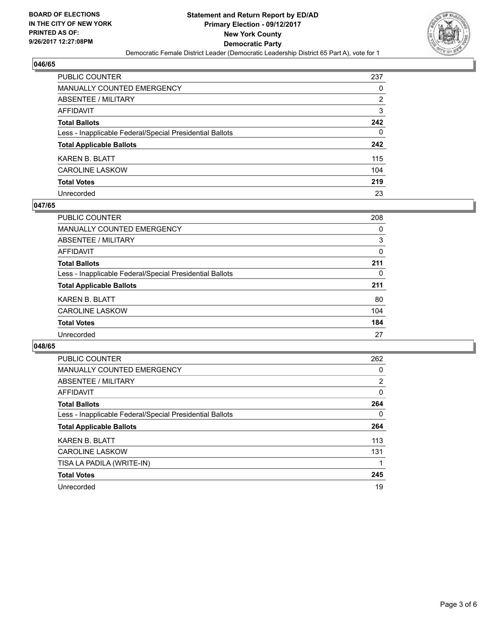

| <b>PUBLIC COUNTER</b>                                    | 237 |
|----------------------------------------------------------|-----|
| <b>MANUALLY COUNTED EMERGENCY</b>                        | 0   |
| <b>ABSENTEE / MILITARY</b>                               | 2   |
| <b>AFFIDAVIT</b>                                         | 3   |
| <b>Total Ballots</b>                                     | 242 |
| Less - Inapplicable Federal/Special Presidential Ballots | 0   |
| <b>Total Applicable Ballots</b>                          | 242 |
| <b>KAREN B. BLATT</b>                                    | 115 |
| <b>CAROLINE LASKOW</b>                                   | 104 |
| <b>Total Votes</b>                                       | 219 |
| Unrecorded                                               | 23  |

#### **047/65**

| <b>PUBLIC COUNTER</b>                                    | 208 |
|----------------------------------------------------------|-----|
| <b>MANUALLY COUNTED EMERGENCY</b>                        | 0   |
| ABSENTEE / MILITARY                                      | 3   |
| AFFIDAVIT                                                | 0   |
| <b>Total Ballots</b>                                     | 211 |
| Less - Inapplicable Federal/Special Presidential Ballots | 0   |
| <b>Total Applicable Ballots</b>                          | 211 |
| <b>KAREN B. BLATT</b>                                    | 80  |
| <b>CAROLINE LASKOW</b>                                   | 104 |
| <b>Total Votes</b>                                       | 184 |
| Unrecorded                                               | 27  |

| <b>PUBLIC COUNTER</b>                                    | 262            |
|----------------------------------------------------------|----------------|
| <b>MANUALLY COUNTED EMERGENCY</b>                        | 0              |
| ABSENTEE / MILITARY                                      | $\overline{2}$ |
| AFFIDAVIT                                                | 0              |
| <b>Total Ballots</b>                                     | 264            |
| Less - Inapplicable Federal/Special Presidential Ballots | 0              |
| <b>Total Applicable Ballots</b>                          | 264            |
| <b>KAREN B. BLATT</b>                                    | 113            |
| <b>CAROLINE LASKOW</b>                                   | 131            |
| TISA LA PADILA (WRITE-IN)                                |                |
| <b>Total Votes</b>                                       | 245            |
| Unrecorded                                               | 19             |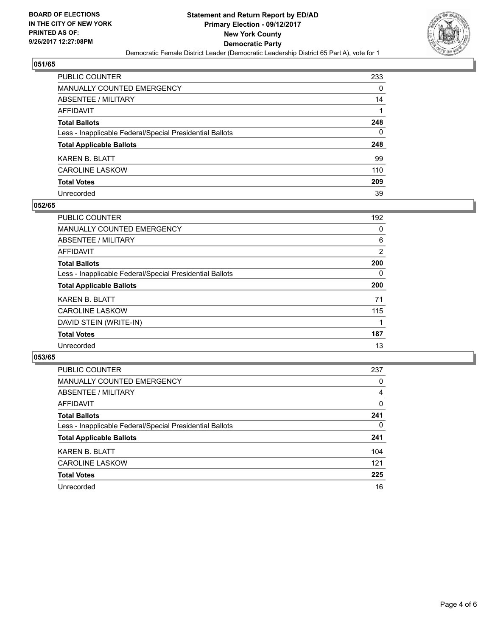

| <b>PUBLIC COUNTER</b>                                    | 233 |
|----------------------------------------------------------|-----|
| <b>MANUALLY COUNTED EMERGENCY</b>                        | 0   |
| ABSENTEE / MILITARY                                      | 14  |
| <b>AFFIDAVIT</b>                                         |     |
| <b>Total Ballots</b>                                     | 248 |
| Less - Inapplicable Federal/Special Presidential Ballots | 0   |
| <b>Total Applicable Ballots</b>                          | 248 |
| <b>KAREN B. BLATT</b>                                    | 99  |
| <b>CAROLINE LASKOW</b>                                   | 110 |
| <b>Total Votes</b>                                       | 209 |
| Unrecorded                                               | 39  |

#### **052/65**

| <b>PUBLIC COUNTER</b>                                    | 192 |
|----------------------------------------------------------|-----|
| <b>MANUALLY COUNTED EMERGENCY</b>                        | 0   |
| ABSENTEE / MILITARY                                      | 6   |
| <b>AFFIDAVIT</b>                                         | 2   |
| <b>Total Ballots</b>                                     | 200 |
| Less - Inapplicable Federal/Special Presidential Ballots | 0   |
| <b>Total Applicable Ballots</b>                          | 200 |
| <b>KAREN B. BLATT</b>                                    | 71  |
| <b>CAROLINE LASKOW</b>                                   | 115 |
| DAVID STEIN (WRITE-IN)                                   |     |
| <b>Total Votes</b>                                       | 187 |
| Unrecorded                                               | 13  |

| <b>PUBLIC COUNTER</b>                                    | 237 |
|----------------------------------------------------------|-----|
| <b>MANUALLY COUNTED EMERGENCY</b>                        | 0   |
| ABSENTEE / MILITARY                                      | 4   |
| AFFIDAVIT                                                | 0   |
| <b>Total Ballots</b>                                     | 241 |
| Less - Inapplicable Federal/Special Presidential Ballots | 0   |
| <b>Total Applicable Ballots</b>                          | 241 |
| <b>KAREN B. BLATT</b>                                    | 104 |
| <b>CAROLINE LASKOW</b>                                   | 121 |
| <b>Total Votes</b>                                       | 225 |
| Unrecorded                                               | 16  |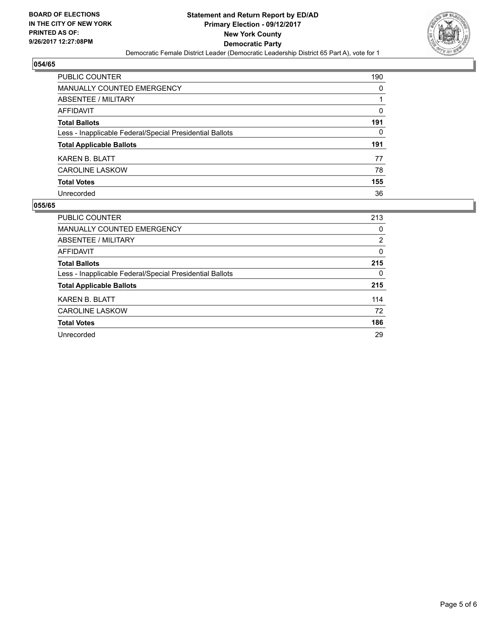

| <b>PUBLIC COUNTER</b>                                    | 190 |
|----------------------------------------------------------|-----|
| <b>MANUALLY COUNTED EMERGENCY</b>                        | 0   |
| ABSENTEE / MILITARY                                      |     |
| <b>AFFIDAVIT</b>                                         | 0   |
| <b>Total Ballots</b>                                     | 191 |
| Less - Inapplicable Federal/Special Presidential Ballots | 0   |
| <b>Total Applicable Ballots</b>                          | 191 |
| <b>KAREN B. BLATT</b>                                    | 77  |
| <b>CAROLINE LASKOW</b>                                   | 78  |
| <b>Total Votes</b>                                       | 155 |
| Unrecorded                                               | 36  |

| <b>PUBLIC COUNTER</b>                                    | 213 |
|----------------------------------------------------------|-----|
| <b>MANUALLY COUNTED EMERGENCY</b>                        | 0   |
| ABSENTEE / MILITARY                                      | 2   |
| AFFIDAVIT                                                | 0   |
| <b>Total Ballots</b>                                     | 215 |
| Less - Inapplicable Federal/Special Presidential Ballots | 0   |
| <b>Total Applicable Ballots</b>                          | 215 |
| <b>KAREN B. BLATT</b>                                    | 114 |
| <b>CAROLINE LASKOW</b>                                   | 72  |
| <b>Total Votes</b>                                       | 186 |
| Unrecorded                                               | 29  |